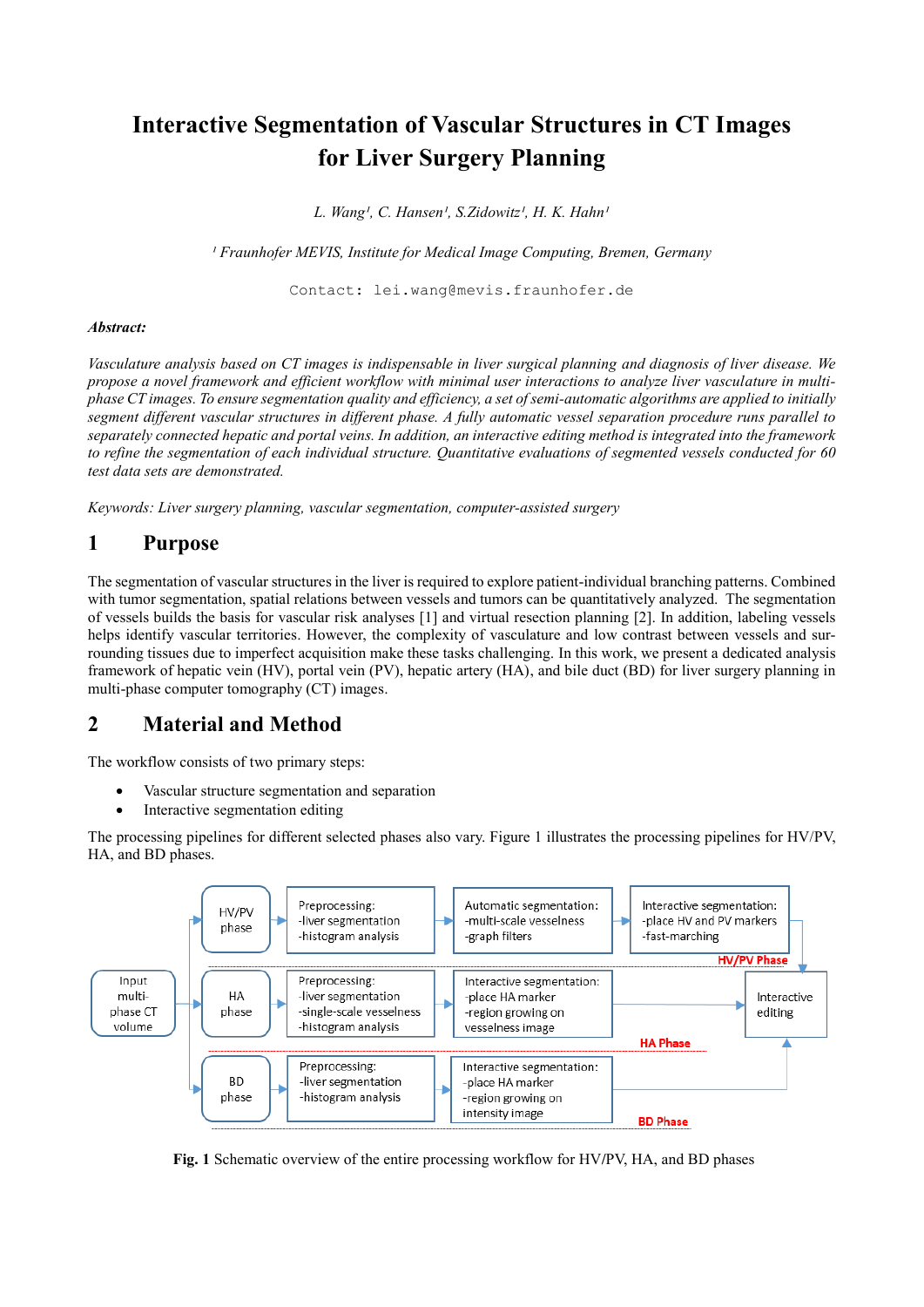# **Interactive Segmentation of Vascular Structures in CT Images for Liver Surgery Planning**

L. Wang<sup>1</sup>, C. Hansen<sup>1</sup>, S.Zidowitz<sup>1</sup>, H. K. Hahn<sup>1</sup>

<sup>1</sup> Fraunhofer MEVIS, Institute for Medical Image Computing, Bremen, Germany

Contact: lei.wang@mevis.fraunhofer.de

### *Abstract:*

*Vasculature analysis based on CT images is indispensable in liver surgical planning and diagnosis of liver disease. We propose a novel framework and efficient workflow with minimal user interactions to analyze liver vasculature in multiphase CT images. To ensure segmentation quality and efficiency, a set ofsemi-automatic algorithms are applied to initially segment different vascular structures in different phase. A fully automatic vessel separation procedure runs parallel to separately connected hepatic and portal veins. In addition, an interactive editing method is integrated into the framework to refine the segmentation of each individual structure. Quantitative evaluations of segmented vessels conducted for 60 test data sets are demonstrated.*

*Keywords: Liver surgery planning, vascular segmentation, computer-assisted surgery*

## **1 Purpose**

The segmentation of vascular structures in the liver is required to explore patient-individual branching patterns. Combined with tumor segmentation, spatial relations between vessels and tumors can be quantitatively analyzed. The segmentation of vessels builds the basis for vascular risk analyses [1] and virtual resection planning [2]. In addition, labeling vessels helps identify vascular territories. However, the complexity of vasculature and low contrast between vessels and surrounding tissues due to imperfect acquisition make these tasks challenging. In this work, we present a dedicated analysis framework of hepatic vein (HV), portal vein (PV), hepatic artery (HA), and bile duct (BD) for liver surgery planning in multi-phase computer tomography (CT) images.

# **2 Material and Method**

The workflow consists of two primary steps:

- Vascular structure segmentation and separation
- Interactive segmentation editing

The processing pipelines for different selected phases also vary. Figure 1 illustrates the processing pipelines for HV/PV, HA, and BD phases.



**Fig. 1** Schematic overview of the entire processing workflow for HV**/**PV, HA, and BD phases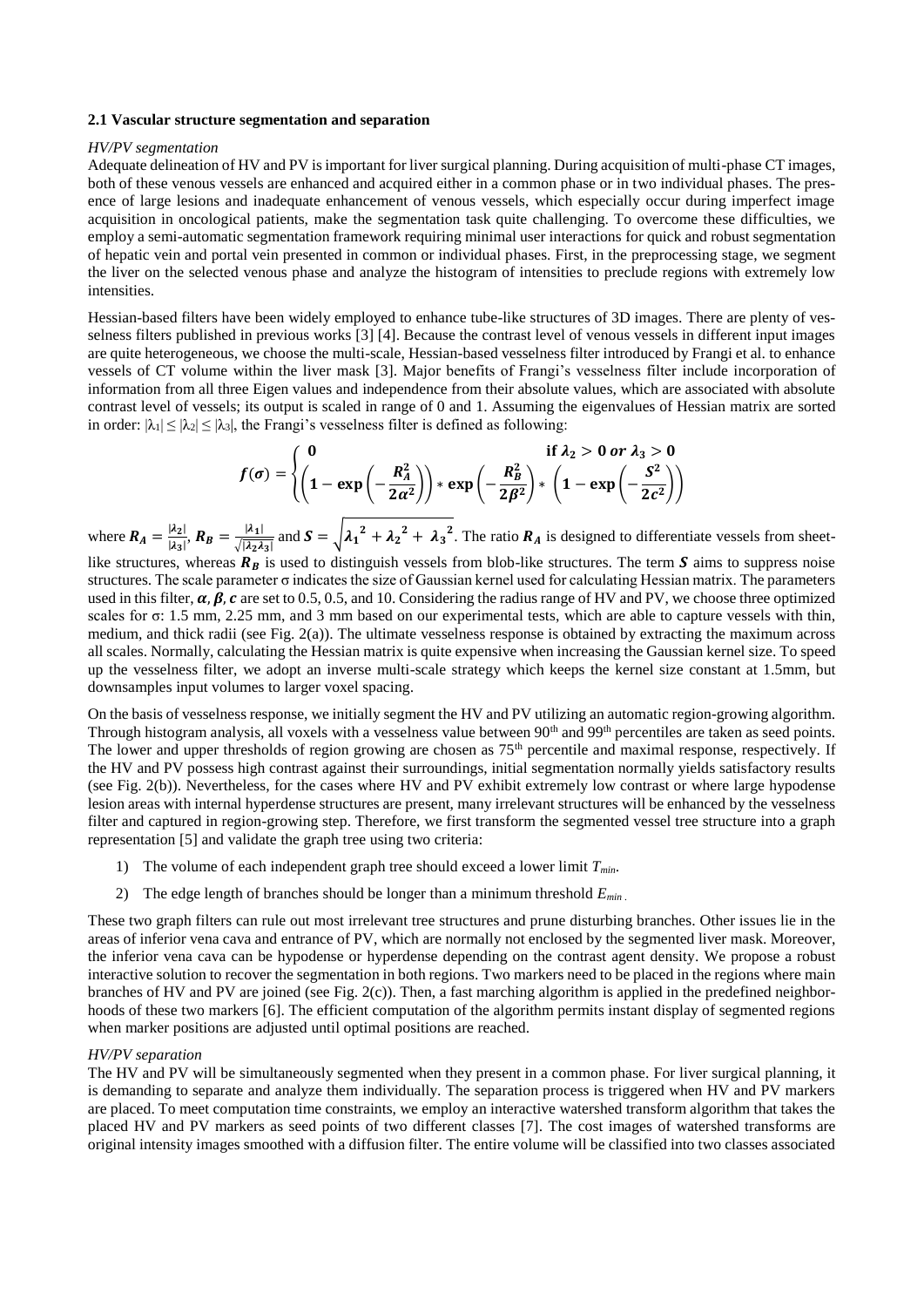#### **2.1 Vascular structure segmentation and separation**

#### *HV/PV segmentation*

Adequate delineation of HV and PV is important for liver surgical planning. During acquisition of multi-phase CT images, both of these venous vessels are enhanced and acquired either in a common phase or in two individual phases. The presence of large lesions and inadequate enhancement of venous vessels, which especially occur during imperfect image acquisition in oncological patients, make the segmentation task quite challenging. To overcome these difficulties, we employ a semi-automatic segmentation framework requiring minimal user interactions for quick and robust segmentation of hepatic vein and portal vein presented in common or individual phases. First, in the preprocessing stage, we segment the liver on the selected venous phase and analyze the histogram of intensities to preclude regions with extremely low intensities.

Hessian-based filters have been widely employed to enhance tube-like structures of 3D images. There are plenty of vesselness filters published in previous works [3] [4]. Because the contrast level of venous vessels in different input images are quite heterogeneous, we choose the multi-scale, Hessian-based vesselness filter introduced by Frangi et al. to enhance vessels of CT volume within the liver mask [3]. Major benefits of Frangi's vesselness filter include incorporation of information from all three Eigen values and independence from their absolute values, which are associated with absolute contrast level of vessels; its output is scaled in range of 0 and 1. Assuming the eigenvalues of Hessian matrix are sorted in order:  $|\lambda_1| \leq |\lambda_2| \leq |\lambda_3|$ , the Frangi's vesselness filter is defined as following:

$$
f(\sigma) = \begin{cases} 0 & \text{if } \lambda_2 > 0 \text{ or } \lambda_3 > 0 \\ \left(1 - \exp\left(-\frac{R_A^2}{2\alpha^2}\right)\right) * \exp\left(-\frac{R_B^2}{2\beta^2}\right) * \left(1 - \exp\left(-\frac{S^2}{2c^2}\right)\right) \end{cases}
$$

where  $R_A = \frac{|\lambda_2|}{|\lambda_2|}$  $\frac{|\lambda_2|}{|\lambda_3|}, R_B = \frac{|\lambda_1|}{\sqrt{|\lambda_2\lambda}}$  $\frac{|A_1|}{\sqrt{|A_2A_3|}}$  and  $S = \sqrt{\lambda_1^2 + \lambda_2^2 + \lambda_3^2}$ . The ratio  $R_A$  is designed to differentiate vessels from sheetlike structures, whereas  $R_B$  is used to distinguish vessels from blob-like structures. The term  $S$  aims to suppress noise

structures. The scale parameter  $\sigma$  indicates the size of Gaussian kernel used for calculating Hessian matrix. The parameters used in this filter,  $\alpha$ ,  $\beta$ ,  $c$  are set to 0.5, 0.5, and 10. Considering the radius range of HV and PV, we choose three optimized scales for σ: 1.5 mm, 2.25 mm, and 3 mm based on our experimental tests, which are able to capture vessels with thin, medium, and thick radii (see Fig. 2(a)). The ultimate vesselness response is obtained by extracting the maximum across all scales. Normally, calculating the Hessian matrix is quite expensive when increasing the Gaussian kernel size. To speed up the vesselness filter, we adopt an inverse multi-scale strategy which keeps the kernel size constant at 1.5mm, but downsamples input volumes to larger voxel spacing.

On the basis of vesselness response, we initially segment the HV and PV utilizing an automatic region-growing algorithm. Through histogram analysis, all voxels with a vesselness value between 90<sup>th</sup> and 99<sup>th</sup> percentiles are taken as seed points. The lower and upper thresholds of region growing are chosen as 75<sup>th</sup> percentile and maximal response, respectively. If the HV and PV possess high contrast against their surroundings, initial segmentation normally yields satisfactory results (see Fig. 2(b)). Nevertheless, for the cases where HV and PV exhibit extremely low contrast or where large hypodense lesion areas with internal hyperdense structures are present, many irrelevant structures will be enhanced by the vesselness filter and captured in region-growing step. Therefore, we first transform the segmented vessel tree structure into a graph representation [5] and validate the graph tree using two criteria:

- 1) The volume of each independent graph tree should exceed a lower limit *Tmin*.
- 2) The edge length of branches should be longer than a minimum threshold *Emin* .

These two graph filters can rule out most irrelevant tree structures and prune disturbing branches. Other issues lie in the areas of inferior vena cava and entrance of PV, which are normally not enclosed by the segmented liver mask. Moreover, the inferior vena cava can be hypodense or hyperdense depending on the contrast agent density. We propose a robust interactive solution to recover the segmentation in both regions. Two markers need to be placed in the regions where main branches of HV and PV are joined (see Fig. 2(c)). Then, a fast marching algorithm is applied in the predefined neighborhoods of these two markers [6]. The efficient computation of the algorithm permits instant display of segmented regions when marker positions are adjusted until optimal positions are reached.

#### *HV/PV separation*

The HV and PV will be simultaneously segmented when they present in a common phase. For liver surgical planning, it is demanding to separate and analyze them individually. The separation process is triggered when HV and PV markers are placed. To meet computation time constraints, we employ an interactive watershed transform algorithm that takes the placed HV and PV markers as seed points of two different classes [7]. The cost images of watershed transforms are original intensity images smoothed with a diffusion filter. The entire volume will be classified into two classes associated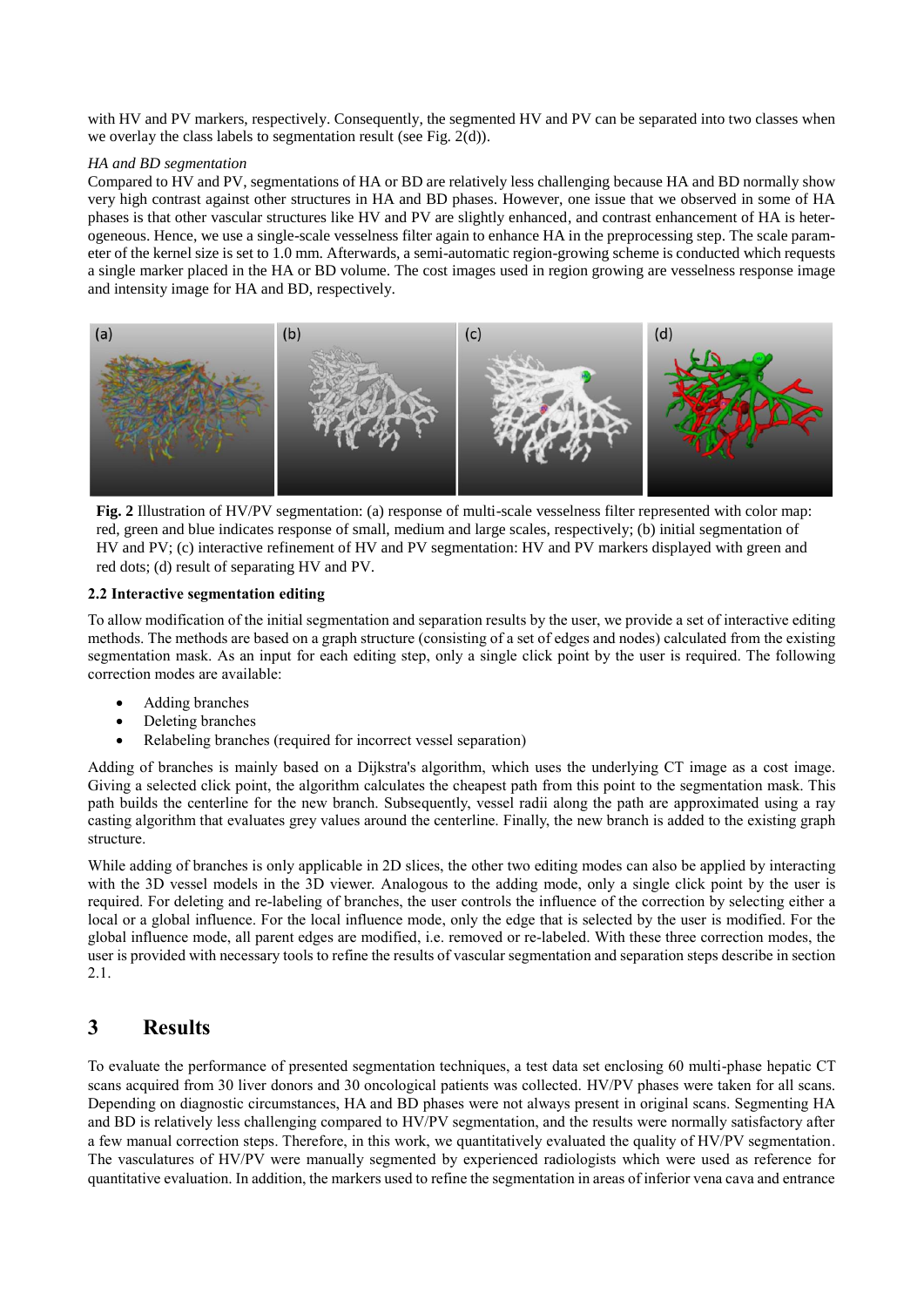with HV and PV markers, respectively. Consequently, the segmented HV and PV can be separated into two classes when we overlay the class labels to segmentation result (see Fig. 2(d)).

### *HA and BD segmentation*

Compared to HV and PV, segmentations of HA or BD are relatively less challenging because HA and BD normally show very high contrast against other structures in HA and BD phases. However, one issue that we observed in some of HA phases is that other vascular structures like HV and PV are slightly enhanced, and contrast enhancement of HA is heterogeneous. Hence, we use a single-scale vesselness filter again to enhance HA in the preprocessing step. The scale parameter of the kernel size is set to 1.0 mm. Afterwards, a semi-automatic region-growing scheme is conducted which requests a single marker placed in the HA or BD volume. The cost images used in region growing are vesselness response image and intensity image for HA and BD, respectively.



**Fig. 2** Illustration of HV/PV segmentation: (a) response of multi-scale vesselness filter represented with color map: red, green and blue indicates response of small, medium and large scales, respectively; (b) initial segmentation of HV and PV; (c) interactive refinement of HV and PV segmentation: HV and PV markers displayed with green and red dots; (d) result of separating HV and PV.

### **2.2 Interactive segmentation editing**

To allow modification of the initial segmentation and separation results by the user, we provide a set of interactive editing methods. The methods are based on a graph structure (consisting of a set of edges and nodes) calculated from the existing segmentation mask. As an input for each editing step, only a single click point by the user is required. The following correction modes are available:

- Adding branches
- Deleting branches
- Relabeling branches (required for incorrect vessel separation)

Adding of branches is mainly based on a Dijkstra's algorithm, which uses the underlying CT image as a cost image. Giving a selected click point, the algorithm calculates the cheapest path from this point to the segmentation mask. This path builds the centerline for the new branch. Subsequently, vessel radii along the path are approximated using a ray casting algorithm that evaluates grey values around the centerline. Finally, the new branch is added to the existing graph structure.

While adding of branches is only applicable in 2D slices, the other two editing modes can also be applied by interacting with the 3D vessel models in the 3D viewer. Analogous to the adding mode, only a single click point by the user is required. For deleting and re-labeling of branches, the user controls the influence of the correction by selecting either a local or a global influence. For the local influence mode, only the edge that is selected by the user is modified. For the global influence mode, all parent edges are modified, i.e. removed or re-labeled. With these three correction modes, the user is provided with necessary tools to refine the results of vascular segmentation and separation steps describe in section 2.1.

# **3 Results**

To evaluate the performance of presented segmentation techniques, a test data set enclosing 60 multi-phase hepatic CT scans acquired from 30 liver donors and 30 oncological patients was collected. HV/PV phases were taken for all scans. Depending on diagnostic circumstances, HA and BD phases were not always present in original scans. Segmenting HA and BD is relatively less challenging compared to HV/PV segmentation, and the results were normally satisfactory after a few manual correction steps. Therefore, in this work, we quantitatively evaluated the quality of HV/PV segmentation. The vasculatures of HV/PV were manually segmented by experienced radiologists which were used as reference for quantitative evaluation. In addition, the markers used to refine the segmentation in areas of inferior vena cava and entrance